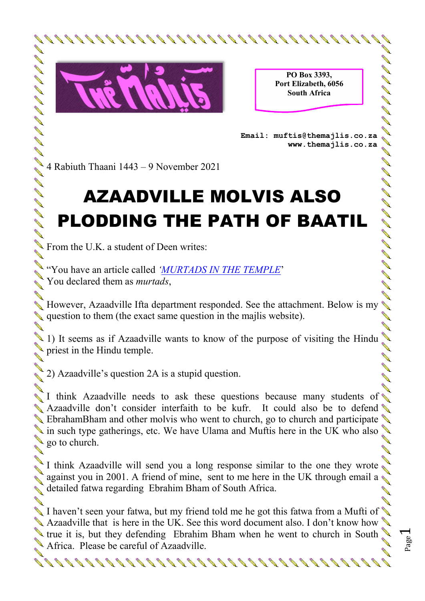

**PO Box 3393, Port Elizabeth, 6056 South Africa**  PO Box 3393,<br>Port Elizabeth, 6056<br>South Africa<br>Email: muftis@themajlis.co.za

**www.themajlis.co.za** 

Page  $\overline{\phantom{0}}$ 

## AZAADVILLE MOLVIS ALSO PLODDING THE PATH OF BAATIL **However, AZAADVILLE MOLVIS ALSO<br>
PLODDING THE PATH OF BAATIL<br>
From the U.K. a student of Deen writes:<br>
You have an article called <u>WURTADS IN THE TEMPLE</u><br>
You declared them as** *murtads***,<br>
However, Azaadville Ifta departme**

From the U.K. a student of Deen writes:

"You have an article called *'MURTADS IN THE TEMPLE*' You declared them as *murtads*,

question to them (the exact same question in the majlis website). **ANDRO** 

1) It seems as if Azaadville wants to know of the purpose of visiting the Hindu **All Contract on the Contract of the Contract of The Contract of The Contract of The Contract of The Contract o**  $\bullet$  priest in the Hindu temple.

2) Azaadville's question 2A is a stupid question.

 $\sum_{k=1}^{\infty}$  I think Azaadville needs to ask these questions because many students of Azaadville don't consider interfaith to be kufr. It could also be to defend EbrahamBham and other molvis who went to church, go to church and participate in such type gatherings, etc. We have Ulama and Muftis here in the UK who also  $\triangle$  go to church.

I think Azaadville will send you a long response similar to the one they wrote against you in 2001. A friend of mine, sent to me here in the UK through email a detailed fatwa regarding Ebrahim Bham of South Africa.

I haven't seen your fatwa, but my friend told me he got this fatwa from a Mufti of  $\triangle$ Azaadville that is here in the UK. See this word document also. I don't know how true it is, but they defending Ebrahim Bham when he went to church in South Africa. Please be careful of Azaadville.